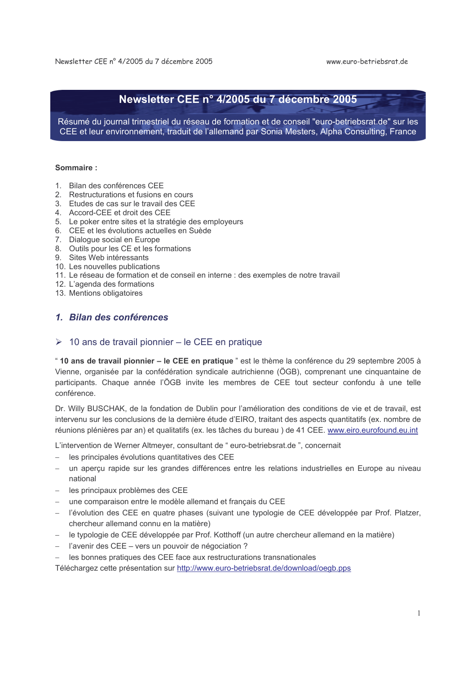# Newsletter CEE n° 4/2005 du 7 décembre 2005

Résumé du journal trimestriel du réseau de formation et de conseil "euro-betriebsrat.de" sur les CEE et leur environnement, traduit de l'allemand par Sonia Mesters, Alpha Consulting, France

#### Sommaire:

- 1. Bilan des conférences CFF
- 2. Restructurations et fusions en cours
- 3. Etudes de cas sur le travail des CEE
- 4. Accord-CEE et droit des CEE
- 5. Le poker entre sites et la stratégie des employeurs
- 6. CEE et les évolutions actuelles en Suède
- 7. Dialogue social en Europe
- 8. Outils pour les CE et les formations
- 9. Sites Web intéressants
- 10. Les nouvelles publications
- 11. Le réseau de formation et de conseil en interne : des exemples de notre travail
- 12. L'agenda des formations
- 13. Mentions obligatoires

### 1. Bilan des conférences

### $\geq 10$  ans de travail pionnier – le CEE en pratique

" 10 ans de travail pionnier - le CEE en pratique " est le thème la conférence du 29 septembre 2005 à Vienne, organisée par la confédération syndicale autrichienne (ÖGB), comprenant une cinquantaine de participants. Chaque année l'ÖGB invite les membres de CEE tout secteur confondu à une telle conférence.

Dr. Willy BUSCHAK, de la fondation de Dublin pour l'amélioration des conditions de vie et de travail, est intervenu sur les conclusions de la dernière étude d'EIRO, traitant des aspects quantitatifs (ex. nombre de réunions plénières par an) et qualitatifs (ex. les tâches du bureau) de 41 CEE. www.eiro.eurofound.eu.int

L'intervention de Werner Altmeyer, consultant de "euro-betriebsrat.de", concernait

- les principales évolutions quantitatives des CEE
- un aperçu rapide sur les grandes différences entre les relations industrielles en Europe au niveau national
- les principaux problèmes des CEE
- une comparaison entre le modèle allemand et français du CEE
- l'évolution des CEE en quatre phases (suivant une typologie de CEE développée par Prof. Platzer, chercheur allemand connu en la matière)
- le typologie de CEE développée par Prof. Kotthoff (un autre chercheur allemand en la matière)
- l'avenir des CEE vers un pouvoir de négociation ?
- les bonnes pratiques des CEE face aux restructurations transnationales

Téléchargez cette présentation sur http://www.euro-betriebsrat.de/download/oegb.pps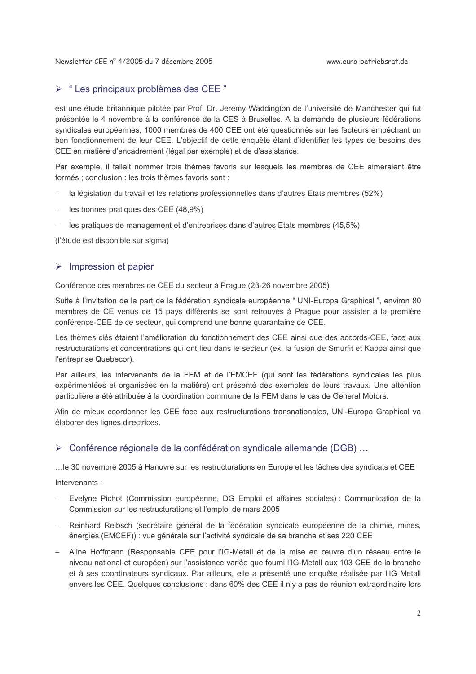### $\triangleright$  " Les principaux problèmes des CEE"

est une étude britannique pilotée par Prof. Dr. Jeremy Waddington de l'université de Manchester qui fut présentée le 4 novembre à la conférence de la CES à Bruxelles. A la demande de plusieurs fédérations syndicales européennes, 1000 membres de 400 CEE ont été questionnés sur les facteurs empêchant un bon fonctionnement de leur CEE. L'objectif de cette enquête étant d'identifier les types de besoins des CEE en matière d'encadrement (légal par exemple) et de d'assistance.

Par exemple, il fallait nommer trois thèmes favoris sur lesquels les membres de CEE aimeraient être formés : conclusion : les trois thèmes favoris sont :

- la législation du travail et les relations professionnelles dans d'autres Etats membres (52%)
- les bonnes pratiques des CEE (48.9%)
- les pratiques de management et d'entreprises dans d'autres Etats membres (45.5%)

(l'étude est disponible sur sigma)

### $\triangleright$  Impression et papier

Conférence des membres de CEE du secteur à Praque (23-26 novembre 2005)

Suite à l'invitation de la part de la fédération syndicale européenne " UNI-Europa Graphical", environ 80 membres de CE venus de 15 pays différents se sont retrouvés à Praque pour assister à la première conférence-CEE de ce secteur, qui comprend une bonne quarantaine de CEE.

Les thèmes clés étaient l'amélioration du fonctionnement des CEE ainsi que des accords-CEE, face aux restructurations et concentrations qui ont lieu dans le secteur (ex. la fusion de Smurfit et Kappa ainsi que l'entreprise Quebecor).

Par ailleurs, les intervenants de la FEM et de l'EMCEF (qui sont les fédérations syndicales les plus expérimentées et organisées en la matière) ont présenté des exemples de leurs travaux. Une attention particulière a été attribuée à la coordination commune de la FEM dans le cas de General Motors.

Afin de mieux coordonner les CEE face aux restructurations transnationales. UNI-Europa Graphical va élaborer des lignes directrices.

### > Conférence régionale de la confédération syndicale allemande (DGB) ...

... le 30 novembre 2005 à Hanovre sur les restructurations en Europe et les tâches des syndicats et CEE

Intervenants:

- Evelyne Pichot (Commission européenne, DG Emploi et affaires sociales) : Communication de la Commission sur les restructurations et l'emploi de mars 2005
- Reinhard Reibsch (secrétaire général de la fédération syndicale européenne de la chimie, mines, énergies (EMCEF)) : vue générale sur l'activité syndicale de sa branche et ses 220 CEE
- Aline Hoffmann (Responsable CEE pour l'IG-Metall et de la mise en œuvre d'un réseau entre le niveau national et européen) sur l'assistance variée que fourni l'IG-Metall aux 103 CEE de la branche et à ses coordinateurs syndicaux. Par ailleurs, elle a présenté une enquête réalisée par l'IG Metall envers les CEE. Quelques conclusions : dans 60% des CEE il n'y a pas de réunion extraordinaire lors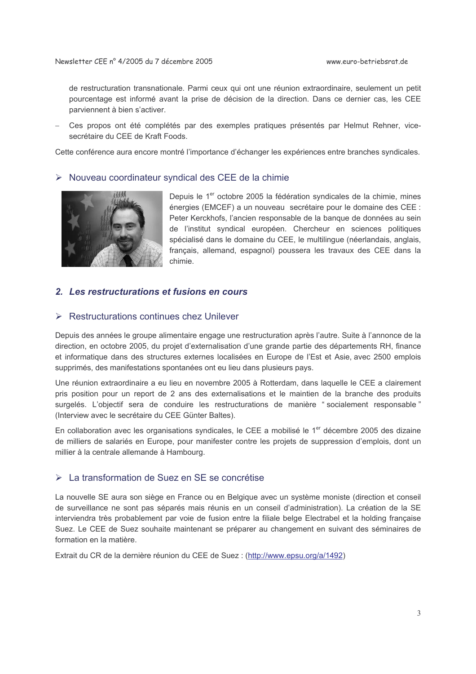de restructuration transnationale. Parmi ceux qui ont une réunion extraordinaire, seulement un petit pourcentage est informé avant la prise de décision de la direction. Dans ce dernier cas, les CEE parviennent à bien s'activer.

Ces propos ont été complétés par des exemples pratiques présentés par Helmut Rehner, vicesecrétaire du CEE de Kraft Foods.

Cette conférence aura encore montré l'importance d'échanger les expériences entre branches syndicales.

#### > Nouveau coordinateur syndical des CEE de la chimie



Depuis le 1<sup>er</sup> octobre 2005 la fédération syndicales de la chimie, mines énergies (EMCEF) a un nouveau secrétaire pour le domaine des CEE : Peter Kerckhofs, l'ancien responsable de la banque de données au sein de l'institut syndical européen. Chercheur en sciences politiques spécialisé dans le domaine du CEE, le multilingue (néerlandais, anglais, français, allemand, espagnol) poussera les travaux des CEE dans la chimie.

### 2. Les restructurations et fusions en cours

#### $\triangleright$  Restructurations continues chez Unilever

Depuis des années le groupe alimentaire engage une restructuration après l'autre. Suite à l'annonce de la direction, en octobre 2005, du projet d'externalisation d'une grande partie des départements RH, finance et informatique dans des structures externes localisées en Europe de l'Est et Asie, avec 2500 emplois supprimés, des manifestations spontanées ont eu lieu dans plusieurs pays.

Une réunion extraordinaire a eu lieu en novembre 2005 à Rotterdam, dans laquelle le CEE a clairement pris position pour un report de 2 ans des externalisations et le maintien de la branche des produits surgelés. L'objectif sera de conduire les restructurations de manière "socialement responsable" (Interview avec le secrétaire du CEE Günter Baltes).

En collaboration avec les organisations syndicales, le CEE a mobilisé le 1<sup>er</sup> décembre 2005 des dizaine de milliers de salariés en Europe, pour manifester contre les projets de suppression d'emplois, dont un millier à la centrale allemande à Hambourg.

### > La transformation de Suez en SE se concrétise

La nouvelle SE aura son siège en France ou en Belgique avec un système moniste (direction et conseil de surveillance ne sont pas séparés mais réunis en un conseil d'administration). La création de la SE interviendra très probablement par voie de fusion entre la filiale belge Electrabel et la holding française Suez. Le CEE de Suez souhaite maintenant se préparer au changement en suivant des séminaires de formation en la matière.

Extrait du CR de la dernière réunion du CEE de Suez : (http://www.epsu.org/a/1492)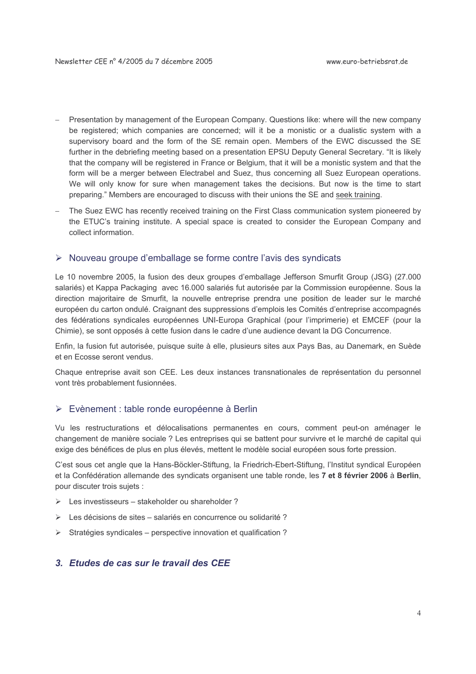- Presentation by management of the European Company. Questions like: where will the new company be registered; which companies are concerned; will it be a monistic or a dualistic system with a supervisory board and the form of the SE remain open. Members of the EWC discussed the SE further in the debriefing meeting based on a presentation EPSU Deputy General Secretary. "It is likely that the company will be registered in France or Belgium, that it will be a monistic system and that the form will be a merger between Electrabel and Suez, thus concerning all Suez European operations. We will only know for sure when management takes the decisions. But now is the time to start preparing." Members are encouraged to discuss with their unions the SE and seek training.
- The Suez EWC has recently received training on the First Class communication system pioneered by the ETUC's training institute. A special space is created to consider the European Company and collect information.

### > Nouveau groupe d'emballage se forme contre l'avis des syndicats

Le 10 novembre 2005, la fusion des deux groupes d'emballage Jefferson Smurfit Group (JSG) (27.000 salariés) et Kappa Packaging avec 16.000 salariés fut autorisée par la Commission européenne. Sous la direction majoritaire de Smurfit, la nouvelle entreprise prendra une position de leader sur le marché européen du carton ondulé. Craignant des suppressions d'emplois les Comités d'entreprise accompagnés des fédérations syndicales européennes UNI-Europa Graphical (pour l'imprimerie) et EMCEF (pour la Chimie), se sont opposés à cette fusion dans le cadre d'une audience devant la DG Concurrence.

Enfin, la fusion fut autorisée, puisque suite à elle, plusieurs sites aux Pays Bas, au Danemark, en Suède et en Ecosse seront vendus.

Chaque entreprise avait son CEE. Les deux instances transnationales de représentation du personnel vont très probablement fusionnées.

### ► Evènement : table ronde européenne à Berlin

Vu les restructurations et délocalisations permanentes en cours, comment peut-on aménager le changement de manière sociale ? Les entreprises qui se battent pour survivre et le marché de capital qui exige des bénéfices de plus en plus élevés, mettent le modèle social européen sous forte pression.

C'est sous cet angle que la Hans-Böckler-Stiftung, la Friedrich-Ebert-Stiftung, l'Institut syndical Européen et la Confédération allemande des syndicats organisent une table ronde, les 7 et 8 février 2006 à Berlin, pour discuter trois sujets :

- $\triangleright$  Les investisseurs stakeholder ou shareholder?
- > Les décisions de sites salariés en concurrence ou solidarité ?
- > Stratégies syndicales perspective innovation et qualification ?

### 3. Etudes de cas sur le travail des CFF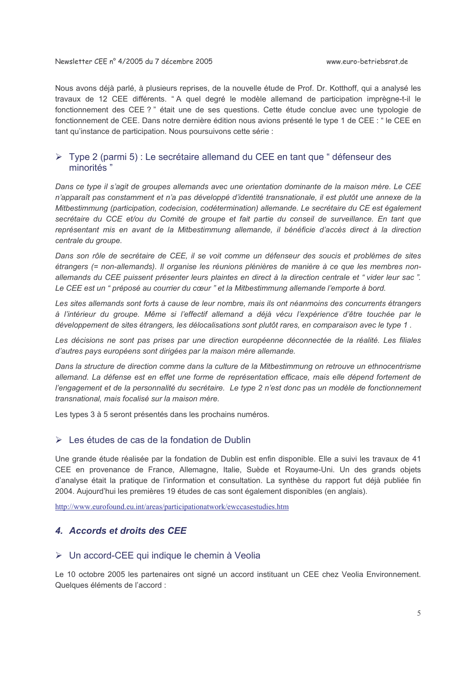Nous avons déjà parlé, à plusieurs reprises, de la nouvelle étude de Prof. Dr. Kotthoff, qui a analysé les travaux de 12 CEE différents. "A quel degré le modèle allemand de participation imprègne-t-il le fonctionnement des CEE?" était une de ses questions. Cette étude conclue avec une typologie de fonctionnement de CEE. Dans notre dernière édition nous avions présenté le type 1 de CEE : " le CEE en tant qu'instance de participation. Nous poursuivons cette série :

### $\triangleright$  Type 2 (parmi 5) : Le secrétaire allemand du CEE en tant que " défenseur des minorités "

Dans ce type il s'agit de groupes allemands avec une orientation dominante de la maison mère. Le CEE n'apparaît pas constamment et n'a pas développé d'identité transnationale, il est plutôt une annexe de la Mitbestimmung (participation, codecision, codétermination) allemande. Le secrétaire du CE est également secrétaire du CCE et/ou du Comité de groupe et fait partie du conseil de surveillance. En tant que représentant mis en avant de la Mitbestimmung allemande, il bénéficie d'accès direct à la direction centrale du groupe.

Dans son rôle de secrétaire de CEE, il se voit comme un défenseur des soucis et problèmes de sites étrangers (= non-allemands). Il organise les réunions plénières de manière à ce que les membres nonallemands du CEE puissent présenter leurs plaintes en direct à la direction centrale et "vider leur sac". Le CEE est un " préposé au courrier du cœur " et la Mitbestimmung allemande l'emporte à bord.

Les sites allemands sont forts à cause de leur nombre, mais ils ont néanmoins des concurrents étrangers à l'intérieur du groupe. Même si l'effectif allemand a déjà vécu l'expérience d'être touchée par le développement de sites étrangers, les délocalisations sont plutôt rares, en comparaison avec le type 1.

Les décisions ne sont pas prises par une direction européenne déconnectée de la réalité. Les filiales d'autres pays européens sont dirigées par la maison mère allemande.

Dans la structure de direction comme dans la culture de la Mitbestimmung on retrouve un ethnocentrisme allemand. La défense est en effet une forme de représentation efficace, mais elle dépend fortement de l'engagement et de la personnalité du secrétaire. Le type 2 n'est donc pas un modèle de fonctionnement transnational, mais focalisé sur la maison mère.

Les types 3 à 5 seront présentés dans les prochains numéros.

#### $\triangleright$  Les études de cas de la fondation de Dublin

Une grande étude réalisée par la fondation de Dublin est enfin disponible. Elle a suivi les travaux de 41 CEE en provenance de France, Allemagne, Italie, Suède et Royaume-Uni. Un des grands objets d'analyse était la pratique de l'information et consultation. La synthèse du rapport fut déjà publiée fin 2004. Aujourd'hui les premières 19 études de cas sont également disponibles (en anglais).

http://www.eurofound.eu.int/areas/participationatwork/ewccasestudies.htm

### 4. Accords et droits des CEE

#### > Un accord-CEE qui indique le chemin à Veolia

Le 10 octobre 2005 les partenaires ont signé un accord instituant un CEE chez Veolia Environnement. Quelques éléments de l'accord :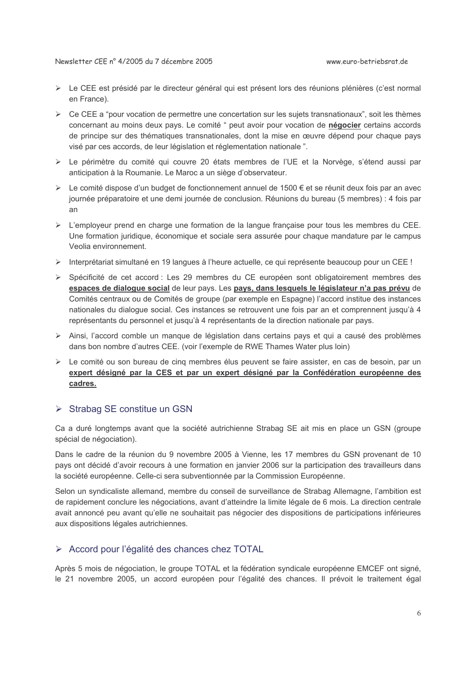- ► Le CEE est présidé par le directeur général qui est présent lors des réunions plénières (c'est normal en France).
- $\triangleright$  Ce CEE a "pour vocation de permettre une concertation sur les sujets transnationaux", soit les thèmes concernant au moins deux pays. Le comité " peut avoir pour vocation de négocier certains accords de principe sur des thématiques transnationales, dont la mise en œuvre dépend pour chaque pays visé par ces accords, de leur législation et réglementation nationale".
- > Le périmètre du comité qui couvre 20 états membres de l'UE et la Norvège, s'étend aussi par anticipation à la Roumanie. Le Maroc a un siège d'observateur.
- ≻ Le comité dispose d'un budget de fonctionnement annuel de 1500 € et se réunit deux fois par an avec journée préparatoire et une demi journée de conclusion. Réunions du bureau (5 membres) : 4 fois par  $an$
- $\triangleright$  L'employeur prend en charge une formation de la langue française pour tous les membres du CEE. Une formation juridique, économique et sociale sera assurée pour chaque mandature par le campus Veolia environnement.
- > Interprétariat simultané en 19 langues à l'heure actuelle, ce qui représente beaucoup pour un CEE !
- > Spécificité de cet accord : Les 29 membres du CE européen sont obligatoirement membres des espaces de dialogue social de leur pays. Les pays, dans lesquels le législateur n'a pas prévu de Comités centraux ou de Comités de groupe (par exemple en Espagne) l'accord institue des instances nationales du dialogue social. Ces instances se retrouvent une fois par an et comprennent jusqu'à 4 représentants du personnel et jusqu'à 4 représentants de la direction nationale par pays.
- ▶ Ainsi, l'accord comble un manque de législation dans certains pays et qui a causé des problèmes dans bon nombre d'autres CEE. (voir l'exemple de RWE Thames Water plus loin)
- ► Le comité ou son bureau de cinq membres élus peuvent se faire assister, en cas de besoin, par un expert désigné par la CES et par un expert désigné par la Confédération européenne des cadres.

### $\triangleright$  Strabag SE constitue un GSN

Ca a duré longtemps avant que la société autrichienne Strabag SE ait mis en place un GSN (groupe spécial de négociation).

Dans le cadre de la réunion du 9 novembre 2005 à Vienne, les 17 membres du GSN provenant de 10 pays ont décidé d'avoir recours à une formation en janvier 2006 sur la participation des travailleurs dans la société européenne. Celle-ci sera subventionnée par la Commission Européenne.

Selon un syndicaliste allemand, membre du conseil de surveillance de Strabag Allemagne, l'ambition est de rapidement conclure les négociations, avant d'atteindre la limite légale de 6 mois. La direction centrale avait annoncé peu avant qu'elle ne souhaitait pas négocier des dispositions de participations inférieures aux dispositions légales autrichiennes.

### > Accord pour l'égalité des chances chez TOTAL

Après 5 mois de négociation, le groupe TOTAL et la fédération syndicale européenne EMCEF ont signé, le 21 novembre 2005, un accord européen pour l'égalité des chances. Il prévoit le traitement égal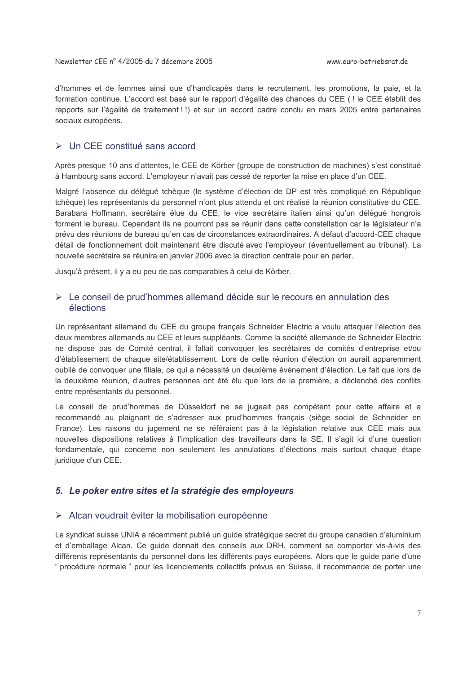d'hommes et de femmes ainsi que d'handicapés dans le recrutement, les promotions, la paie, et la formation continue. L'accord est basé sur le rapport d'égalité des chances du CEE ( ! le CEE établit des rapports sur l'égalité de traitement ! !) et sur un accord cadre conclu en mars 2005 entre partenaires sociaux européens.

#### $\triangleright$  Un CFF constitué sans accord

Après presque 10 ans d'attentes, le CEE de Körber (groupe de construction de machines) s'est constitué à Hambourg sans accord. L'employeur n'avait pas cessé de reporter la mise en place d'un CEE.

Malgré l'absence du délégué tchèque (le système d'élection de DP est très compliqué en République tchèque) les représentants du personnel n'ont plus attendu et ont réalisé la réunion constitutive du CEE. Barabara Hoffmann, secrétaire élue du CEE, le vice secrétaire italien ainsi qu'un délégué hongrois forment le bureau. Cependant ils ne pourront pas se réunir dans cette constellation car le législateur n'a prévu des réunions de bureau qu'en cas de circonstances extraordinaires. A défaut d'accord-CEE chaque détail de fonctionnement doit maintenant être discuté avec l'employeur (éventuellement au tribunal). La nouvelle secrétaire se réunira en janvier 2006 avec la direction centrale pour en parler.

Jusqu'à présent, il y a eu peu de cas comparables à celui de Körber.

### ► Le conseil de prud'hommes allemand décide sur le recours en annulation des élections

Un représentant allemand du CEE du groupe français Schneider Electric a voulu attaquer l'élection des deux membres allemands au CEE et leurs suppléants. Comme la société allemande de Schneider Electric ne dispose pas de Comité central, il fallait convoquer les secrétaires de comités d'entreprise et/ou d'établissement de chaque site/établissement. Lors de cette réunion d'élection on aurait apparemment oublié de convoquer une filiale, ce qui a nécessité un deuxième événement d'élection. Le fait que lors de la deuxième réunion, d'autres personnes ont été élu que lors de la première, a déclenché des conflits entre représentants du personnel.

Le conseil de prud'hommes de Düsseldorf ne se jugeait pas compétent pour cette affaire et a recommandé au plaignant de s'adresser aux prud'hommes français (siège social de Schneider en France). Les raisons du jugement ne se référaient pas à la législation relative aux CEE mais aux nouvelles dispositions relatives à l'implication des travailleurs dans la SE. Il s'agit ici d'une question fondamentale, qui concerne non seulement les annulations d'élections mais surtout chaque étape juridique d'un CEE.

### 5. Le poker entre sites et la stratégie des employeurs

#### > Alcan voudrait éviter la mobilisation européenne

Le syndicat suisse UNIA a récemment publié un guide stratégique secret du groupe canadien d'aluminium et d'emballage Alcan. Ce quide donnait des conseils aux DRH, comment se comporter vis-à-vis des différents représentants du personnel dans les différents pays européens. Alors que le guide parle d'une " procédure normale " pour les licenciements collectifs prévus en Suisse, il recommande de porter une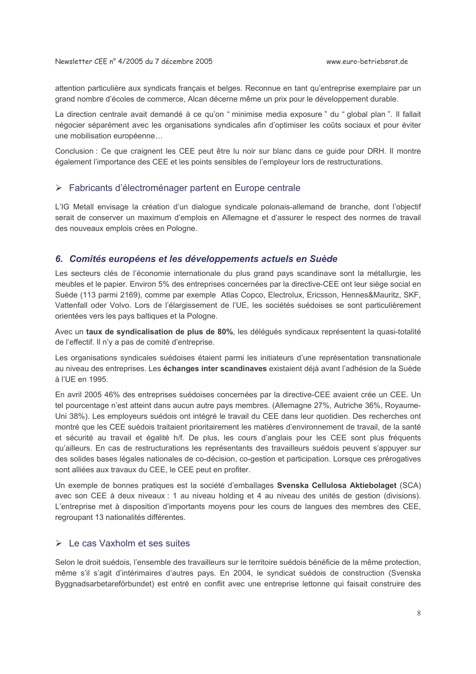attention particulière aux syndicats français et belges. Reconnue en tant qu'entreprise exemplaire par un grand nombre d'écoles de commerce, Alcan décerne même un prix pour le développement durable.

La direction centrale avait demandé à ce qu'on " minimise media exposure " du " global plan ". Il fallait négocier séparément avec les organisations syndicales afin d'optimiser les coûts sociaux et pour éviter une mobilisation européenne...

Conclusion : Ce que craignent les CEE peut être lu noir sur blanc dans ce guide pour DRH. Il montre également l'importance des CEE et les points sensibles de l'employeur lors de restructurations.

#### > Fabricants d'électroménager partent en Europe centrale

L'IG Metall envisage la création d'un dialogue syndicale polonais-allemand de branche, dont l'obiectif serait de conserver un maximum d'emplois en Allemagne et d'assurer le respect des normes de travail des nouveaux emplois crées en Pologne.

#### 6. Comités européens et les développements actuels en Suède

Les secteurs clés de l'économie internationale du plus grand pays scandinave sont la métallurgie, les meubles et le papier. Environ 5% des entreprises concernées par la directive-CEE ont leur siège social en Suède (113 parmi 2169), comme par exemple Atlas Copco, Electrolux, Ericsson, Hennes&Mauritz, SKF, Vattenfall oder Volvo. Lors de l'élargissement de l'UE, les sociétés suédoises se sont particulièrement orientées vers les pays baltiques et la Pologne.

Avec un taux de syndicalisation de plus de 80%, les délégués syndicaux représentent la quasi-totalité de l'effectif. Il n'y a pas de comité d'entreprise.

Les organisations syndicales suédoises étaient parmi les initiateurs d'une représentation transnationale au niveau des entreprises. Les échanges inter scandinaves existaient déjà avant l'adhésion de la Suède à l'UE en 1995.

En avril 2005 46% des entreprises suédoises concernées par la directive-CEE avaient crée un CEE. Un tel pourcentage n'est atteint dans aucun autre pays membres. (Allemagne 27%, Autriche 36%, Royaume-Uni 38%). Les employeurs suédois ont intégré le travail du CEE dans leur quotidien. Des recherches ont montré que les CEE suédois traitaient prioritairement les matières d'environnement de travail, de la santé et sécurité au travail et égalité h/f. De plus, les cours d'anglais pour les CEE sont plus fréquents qu'ailleurs. En cas de restructurations les représentants des travailleurs suédois peuvent s'appuyer sur des solides bases légales nationales de co-décision, co-gestion et participation. Lorsque ces prérogatives sont alliées aux travaux du CEE, le CEE peut en profiter.

Un exemple de bonnes pratiques est la société d'emballages Svenska Cellulosa Aktiebolaget (SCA) avec son CEE à deux niveaux : 1 au niveau holding et 4 au niveau des unités de gestion (divisions). L'entreprise met à disposition d'importants moyens pour les cours de langues des membres des CEE, regroupant 13 nationalités différentes.

### $\triangleright$  Le cas Vaxholm et ses suites

Selon le droit suédois, l'ensemble des travailleurs sur le territoire suédois bénéficie de la même protection, même s'il s'agit d'intérimaires d'autres pays. En 2004, le syndicat suédois de construction (Svenska Byggnadsarbetareförbundet) est entré en conflit avec une entreprise lettonne qui faisait construire des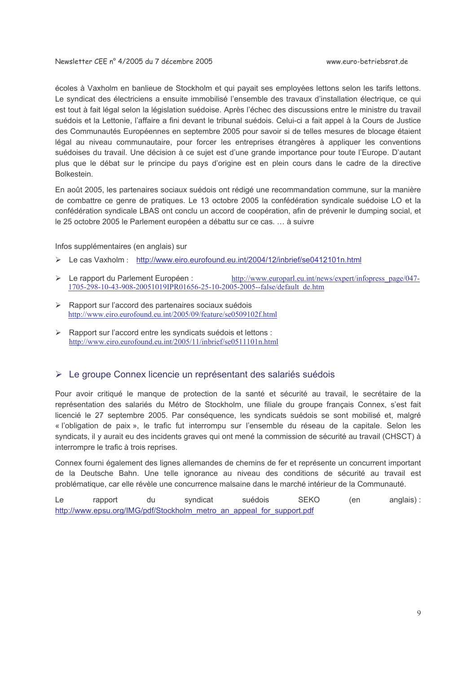écoles à Vaxholm en banlieue de Stockholm et qui payait ses employées lettons selon les tarifs lettons. Le syndicat des électriciens a ensuite immobilisé l'ensemble des travaux d'installation électrique, ce qui est tout à fait légal selon la législation suédoise. Après l'échec des discussions entre le ministre du travail suédois et la Lettonie. l'affaire a fini devant le tribunal suédois. Celui-ci a fait appel à la Cours de Justice des Communautés Européennes en septembre 2005 pour savoir si de telles mesures de blocage étaient légal au niveau communautaire, pour forcer les entreprises étrangères à appliquer les conventions suédoises du travail. Une décision à ce sujet est d'une grande importance pour toute l'Europe. D'autant plus que le débat sur le principe du pays d'origine est en plein cours dans le cadre de la directive Bolkestein.

En août 2005, les partenaires sociaux suédois ont rédigé une recommandation commune, sur la manière de combattre ce genre de pratiques. Le 13 octobre 2005 la confédération syndicale suédoise LO et la confédération syndicale LBAS ont conclu un accord de coopération, afin de prévenir le dumping social, et le 25 octobre 2005 le Parlement européen a débattu sur ce cas. ... à suivre

Infos supplémentaires (en anglais) sur

- > Le cas Vaxholm: http://www.eiro.eurofound.eu.int/2004/12/inbrief/se0412101n.html
- > Le rapport du Parlement Européen : http://www.europarl.eu.int/news/expert/infopress\_page/047-1705-298-10-43-908-20051019IPR01656-25-10-2005-2005--false/default\_de.htm
- > Rapport sur l'accord des partenaires sociaux suédois http://www.eiro.eurofound.eu.int/2005/09/feature/se0509102f.html
- > Rapport sur l'accord entre les syndicats suédois et lettons : http://www.eiro.eurofound.eu.int/2005/11/inbrief/se0511101n.html

### ► Le groupe Connex licencie un représentant des salariés suédois

Pour avoir critiqué le manque de protection de la santé et sécurité au travail, le secrétaire de la représentation des salariés du Métro de Stockholm, une filiale du groupe français Connex, s'est fait licencié le 27 septembre 2005. Par conséquence, les syndicats suédois se sont mobilisé et, malgré « l'obligation de paix », le trafic fut interrompu sur l'ensemble du réseau de la capitale. Selon les syndicats, il y aurait eu des incidents graves qui ont mené la commission de sécurité au travail (CHSCT) à interrompre le trafic à trois reprises.

Connex fourni également des lignes allemandes de chemins de fer et représente un concurrent important de la Deutsche Bahn. Une telle ignorance au niveau des conditions de sécurité au travail est problématique, car elle révèle une concurrence malsaine dans le marché intérieur de la Communauté.

 $\overline{a}$ syndicat suédois SEKO  $(en)$ anglais): rapport du http://www.epsu.org/IMG/pdf/Stockholm metro an appeal for support.pdf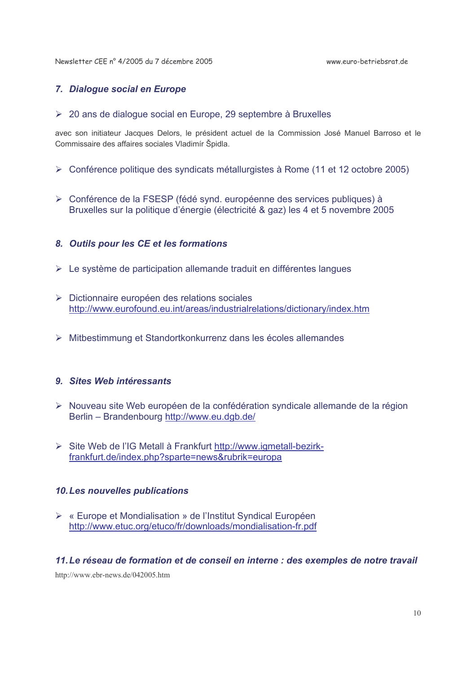Newsletter CEE nº 4/2005 du 7 décembre 2005

www.euro-betriebsrat.de

## 7. Dialogue social en Europe

> 20 ans de dialogue social en Europe, 29 septembre à Bruxelles

avec son initiateur Jacques Delors, le président actuel de la Commission José Manuel Barroso et le Commissaire des affaires sociales Vladimír Špidla.

- > Conférence politique des syndicats métallurgistes à Rome (11 et 12 octobre 2005)
- > Conférence de la FSESP (fédé synd. européenne des services publiques) à Bruxelles sur la politique d'énergie (électricité & gaz) les 4 et 5 novembre 2005

## 8. Outils pour les CE et les formations

- $\triangleright$  Le système de participation allemande traduit en différentes langues
- > Dictionnaire européen des relations sociales http://www.eurofound.eu.int/areas/industrialrelations/dictionary/index.htm
- > Mitbestimmung et Standortkonkurrenz dans les écoles allemandes

## 9. Sites Web intéressants

- > Nouveau site Web européen de la confédération syndicale allemande de la région Berlin - Brandenbourg http://www.eu.dgb.de/
- > Site Web de l'IG Metall à Frankfurt http://www.igmetall-bezirkfrankfurt.de/index.php?sparte=news&rubrik=europa

### 10. Les nouvelles publications

► « Europe et Mondialisation » de l'Institut Syndical Européen http://www.etuc.org/etuco/fr/downloads/mondialisation-fr.pdf

### 11. Le réseau de formation et de conseil en interne : des exemples de notre travail

http://www.ebr-news.de/042005.htm